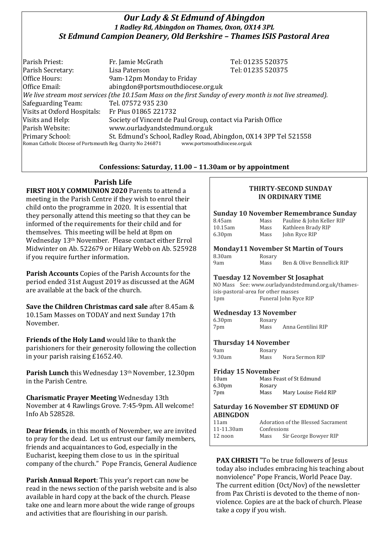# *Our Lady & St Edmund of Abingdon 1 Radley Rd, Abingdon on Thames, Oxon, OX14 3PL St Edmund Campion Deanery, Old Berkshire – Thames ISIS Pastoral Area*

Parish Priest: Fr. Jamie McGrath Tel: 01235 520375 Parish Secretary: Tel: 01235 520375 Office Hours: 9am-12pm Monday to Friday Office Email: abingdon@portsmouthdiocese.org.uk *We live stream most services (the 10.15am Mass on the first Sunday of every month is not live streamed).* Safeguarding Team: Tel. 07572 935 230 Visits at Oxford Hospitals: Fr Pius 01865 221732 Visits and Help: Society of Vincent de Paul Group, contact via Parish Office Parish Website: www.ourladyandstedmund.org.uk Primary School: St. Edmund's School, Radley Road, Abingdon, OX14 3PP Tel 521558 Roman Catholic Diocese of Portsmouth Reg. Charity No 246871 www.portsmouthdiocese.org.uk

## **Confessions: Saturday, 11.00 – 11.30am or by appointment**

# **Parish Life**

**FIRST HOLY COMMUNION 2020** Parents to attend a meeting in the Parish Centre if they wish to enrol their child onto the programme in 2020. It is essential that they personally attend this meeting so that they can be informed of the requirements for their child and for themselves. This meeting will be held at 8pm on Wednesday 13th November. Please contact either Errol Midwinter on Ab. 522679 or Hilary Webb on Ab. 525928 if you require further information.

**Parish Accounts** Copies of the Parish Accounts for the period ended 31st August 2019 as discussed at the AGM are available at the back of the church.

**Save the Children Christmas card sale** after 8.45am & 10.15am Masses on TODAY and next Sunday 17th November.

**Friends of the Holy Land** would like to thank the parishioners for their generosity following the collection in your parish raising £1652.40.

Parish Lunch this Wednesday 13<sup>th</sup> November, 12.30pm in the Parish Centre.

**Charismatic Prayer Meeting** Wednesday 13th November at 4 Rawlings Grove. 7:45-9pm. All welcome! Info Ab 528528.

**Dear friends**, in this month of November, we are invited to pray for the dead. Let us entrust our family members, friends and acquaintances to God, especially in the Eucharist, keeping them close to us in the spiritual company of the church." Pope Francis, General Audience

**Parish Annual Report**: This year's report can now be read in the news section of the parish website and is also available in hard copy at the back of the church. Please take one and learn more about the wide range of groups and activities that are flourishing in our parish.

## **THIRTY-SECOND SUNDAY IN ORDINARY TIME**

### **Sunday 10 November Remembrance Sunday**

| 8.45am             | Mass | Pauline & John Keller RIP |
|--------------------|------|---------------------------|
| $10.15$ am         | Mass | Kathleen Brady RIP        |
| 6.30 <sub>pm</sub> | Mass | John Ryce RIP             |

#### **Monday11 November St Martin of Tours** Rosary

| 8.30am |  |
|--------|--|
| 9am    |  |

### Mass Ben & Olive Bennellick RIP

## **Tuesday 12 November St Josaphat**

NO Mass See: www.ourladyandstedmund.org.uk/thamesisis-pastoral-area for other masses 1pm Funeral John Ryce RIP

## **Wednesday 13 November**

| 6.30 <sub>pm</sub> | Rosary |                    |
|--------------------|--------|--------------------|
| 7pm                | Mass   | Anna Gentilini RIP |

#### **Thursday 14 November** Rosary

| 9am    |  |
|--------|--|
| 9.30am |  |

# Mass Nora Sermon RIP

## **Friday 15 November**

| 10am               | Mass Feast of St Edmund |                       |
|--------------------|-------------------------|-----------------------|
| 6.30 <sub>pm</sub> | Rosary                  |                       |
| 7pm                | Mass                    | Mary Louise Field RIP |

### **Saturday 16 November ST EDMUND OF ABINGDON**

| 11am       |             | Adoration of the Blessed Sacrament |
|------------|-------------|------------------------------------|
| 11-11.30am | Confessions |                                    |
| 12 noon    | Mass        | Sir George Bowyer RIP              |

**PAX CHRISTI** "To be true followers of Jesus today also includes embracing his teaching about nonviolence" Pope Francis, World Peace Day. The current edition (Oct/Nov) of the newsletter from Pax Christi is devoted to the theme of nonviolence. Copies are at the back of church. Please take a copy if you wish.